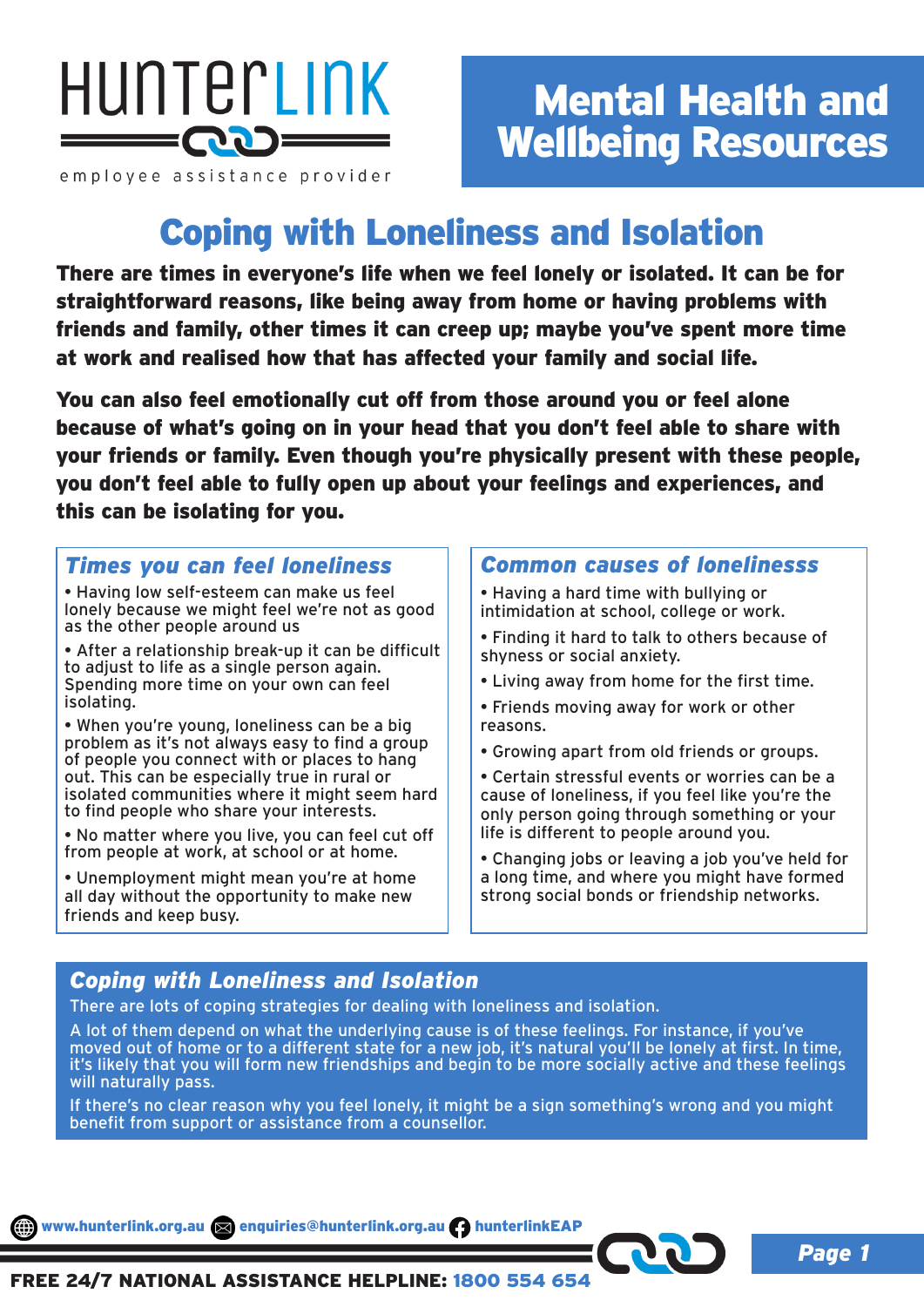

employee assistance provider

# Mental Health and Wellbeing Resources

# Coping with Loneliness and Isolation

There are times in everyone's life when we feel lonely or isolated. It can be for straightforward reasons, like being away from home or having problems with friends and family, other times it can creep up; maybe you've spent more time at work and realised how that has affected your family and social life.

You can also feel emotionally cut off from those around you or feel alone because of what's going on in your head that you don't feel able to share with your friends or family. Even though you're physically present with these people, you don't feel able to fully open up about your feelings and experiences, and this can be isolating for you.

### *Times you can feel loneliness*

• Having low self-esteem can make us feel lonely because we might feel we're not as good as the other people around us

• After a relationship break-up it can be difficult to adjust to life as a single person again. Spending more time on your own can feel isolating.

• When you're young, loneliness can be a big problem as it's not always easy to find a group of people you connect with or places to hang out. This can be especially true in rural or isolated communities where it might seem hard to find people who share your interests.

• No matter where you live, you can feel cut off from people at work, at school or at home.

• Unemployment might mean you're at home all day without the opportunity to make new friends and keep busy.

### *Common causes of lonelinesss*

- Having a hard time with bullying or intimidation at school, college or work.
- Finding it hard to talk to others because of shyness or social anxiety.
- Living away from home for the first time.
- Friends moving away for work or other reasons.
- Growing apart from old friends or groups.
- Certain stressful events or worries can be a cause of loneliness, if you feel like you're the only person going through something or your life is different to people around you.
- Changing jobs or leaving a job you've held for a long time, and where you might have formed strong social bonds or friendship networks.

### *Coping with Loneliness and Isolation*

There are lots of coping strategies for dealing with loneliness and isolation.

A lot of them depend on what the underlying cause is of these feelings. For instance, if you've moved out of home or to a different state for a new job, it's natural you'll be lonely at first. In time, it's likely that you will form new friendships and begin to be more socially active and these feelings will naturally pass.

If there's no clear reason why you feel lonely, it might be a sign something's wrong and you might benefit from support or assistance from a counsellor.

www.hunterlink.org.au a enquiries@hunterlink.org.au hunterlinkEAP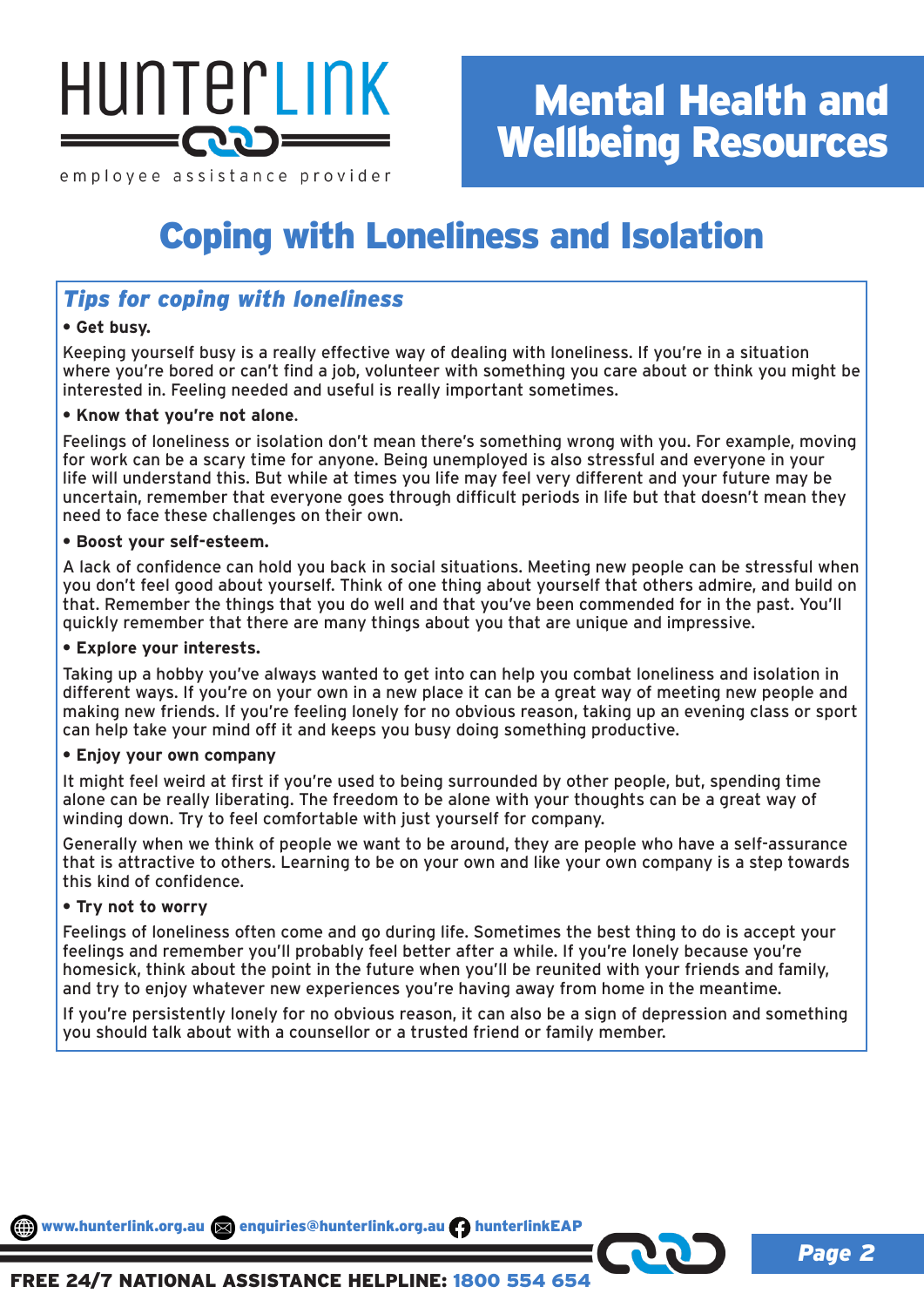

employee assistance provider

# Mental Health and Wellbeing Resources

# Coping with Loneliness and Isolation

## *Tips for coping with loneliness*

#### **• Get busy.**

Keeping yourself busy is a really effective way of dealing with loneliness. If you're in a situation where you're bored or can't find a job, volunteer with something you care about or think you might be interested in. Feeling needed and useful is really important sometimes.

#### **• Know that you're not alone**.

Feelings of loneliness or isolation don't mean there's something wrong with you. For example, moving for work can be a scary time for anyone. Being unemployed is also stressful and everyone in your life will understand this. But while at times you life may feel very different and your future may be uncertain, remember that everyone goes through difficult periods in life but that doesn't mean they need to face these challenges on their own.

#### **• Boost your self-esteem.**

A lack of confidence can hold you back in social situations. Meeting new people can be stressful when you don't feel good about yourself. Think of one thing about yourself that others admire, and build on that. Remember the things that you do well and that you've been commended for in the past. You'll quickly remember that there are many things about you that are unique and impressive.

#### **• Explore your interests.**

Taking up a hobby you've always wanted to get into can help you combat loneliness and isolation in different ways. If you're on your own in a new place it can be a great way of meeting new people and making new friends. If you're feeling lonely for no obvious reason, taking up an evening class or sport can help take your mind off it and keeps you busy doing something productive.

#### **• Enjoy your own company**

It might feel weird at first if you're used to being surrounded by other people, but, spending time alone can be really liberating. The freedom to be alone with your thoughts can be a great way of winding down. Try to feel comfortable with just yourself for company.

Generally when we think of people we want to be around, they are people who have a self-assurance that is attractive to others. Learning to be on your own and like your own company is a step towards this kind of confidence.

#### **• Try not to worry**

Feelings of loneliness often come and go during life. Sometimes the best thing to do is accept your feelings and remember you'll probably feel better after a while. If you're lonely because you're homesick, think about the point in the future when you'll be reunited with your friends and family, and try to enjoy whatever new experiences you're having away from home in the meantime.

If you're persistently lonely for no obvious reason, it can also be a sign of depression and something you should talk about with a counsellor or a trusted friend or family member.

www.hunterlink.org.au anquiries@hunterlink.org.au hunterlinkEAP